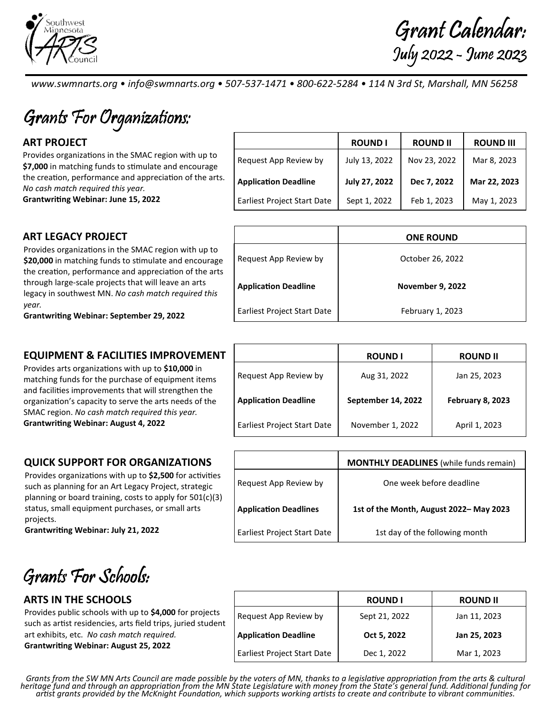

Grant Calendar: July 2022 - June 2023

www.swmnarts.org • info@swmnarts.org • 507-537-1471 • 800-622-5284 • 114 N 3rd St, Marshall, MN 56258

Grants For Organizations:

Provides organizations in the SMAC region with up to \$7,000 in matching funds to stimulate and encourage the creation, performance and appreciation of the arts. No cash match required this year.

Grantwriting Webinar: June 15, 2022

# ART PROJECT ROUND I ROUND II ROUND III Request App Review by July 13, 2022 Nov 23, 2022 Mar 8, 2023 Application Deadline | July 27, 2022 | Dec 7, 2022 | Mar 22, 2023 Earliest Project Start Date | Sept 1, 2022 | Feb 1, 2023 | May 1, 2023

Request App Review by Network Corporation Corporation 26, 2022

Application Deadline Application Deadline

Earliest Project Start Date | February 1, 2023

## ART LEGACY PROJECT And the state of the state of the state of the state one round

Provides organizations in the SMAC region with up to \$20,000 in matching funds to stimulate and encourage the creation, performance and appreciation of the arts through large-scale projects that will leave an arts legacy in southwest MN. No cash match required this year.

Grantwriting Webinar: September 29, 2022

# **EQUIPMENT & FACILITIES IMPROVEMENT**

Provides arts organizations with up to \$10,000 in matching funds for the purchase of equipment items and facilities improvements that will strengthen the organization's capacity to serve the arts needs of the SMAC region. No cash match required this year. **Grantwriting Webinar: August 4, 2022** 

## QUICK SUPPORT FOR ORGANIZATIONS

Provides organizations with up to \$2,500 for activities such as planning for an Art Legacy Project, strategic planning or board training, costs to apply for 501(c)(3) status, small equipment purchases, or small arts projects.

Grantwriting Webinar: July 21, 2022

Grants For Schools:

# **ARTS IN THE SCHOOLS**

Provides public schools with up to \$4,000 for projects such as artist residencies, arts field trips, juried student art exhibits, etc. No cash match required. Grantwriting Webinar: August 25, 2022

|                                    | <b>ROUND I</b>     | <b>ROUND II</b>         |
|------------------------------------|--------------------|-------------------------|
| Request App Review by              | Aug 31, 2022       | Jan 25, 2023            |
| <b>Application Deadline</b>        | September 14, 2022 | <b>February 8, 2023</b> |
| <b>Earliest Project Start Date</b> | November 1, 2022   | April 1, 2023           |

|                                    | <b>MONTHLY DEADLINES</b> (while funds remain) |
|------------------------------------|-----------------------------------------------|
| Request App Review by              | One week before deadline                      |
| <b>Application Deadlines</b>       | 1st of the Month, August 2022-May 2023        |
| <b>Earliest Project Start Date</b> | 1st day of the following month                |

|                                    | <b>ROUND I</b> | <b>ROUND II</b> |
|------------------------------------|----------------|-----------------|
| Request App Review by              | Sept 21, 2022  | Jan 11, 2023    |
| <b>Application Deadline</b>        | Oct 5, 2022    | Jan 25, 2023    |
| <b>Earliest Project Start Date</b> | Dec 1, 2022    | Mar 1, 2023     |

Grants from the SW MN Arts Council are made possible by the voters of MN, thanks to a legislative appropriation from the arts & cultural heritage fund and through an appropriation from the MN State Legislature with money from the State's general fund. Additional funding for artist grants provided by the McKnight Foundation, which supports working artists to create and contribute to vibrant communities.